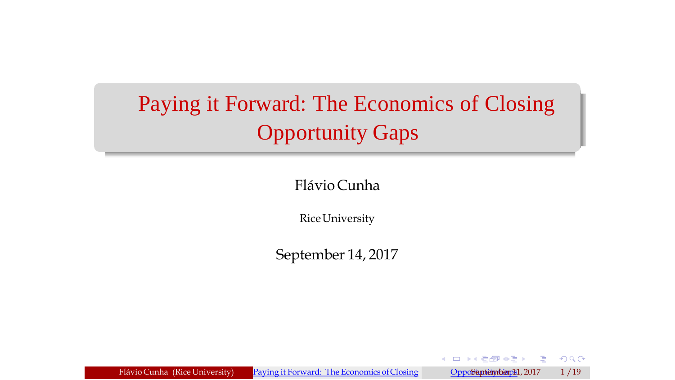# <span id="page-0-0"></span>Paying it Forward: The Economics of Closing Opportunity Gaps

Flávio Cunha

RiceUniversity

September 14, 2017

Flávio Cunha (Rice University) Paying it Forward: The Economics of Closing OppoSuptember 1, 2017 1/19

×.

 $\mathbf{A} \in \mathbb{R}$  and  $\mathbf{A} \in \mathbb{R}$ 

 $299$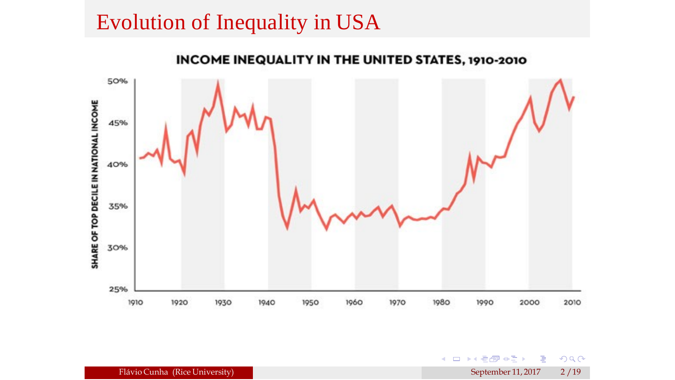## Evolution of Inequality in USA



**K □ ▶K 看得 ◆三** 

э

 $2990$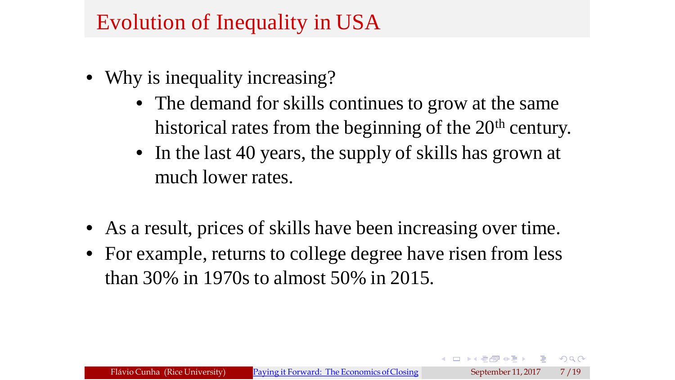## Evolution of Inequality in USA

- Why is inequality increasing?
	- The demand for skills continues to grow at the same historical rates from the beginning of the 20<sup>th</sup> century.
	- In the last 40 years, the supply of skills has grown at much lower rates.

 $200$ 

- As a result, prices of skills have been increasing over time.
- For example, returns to college degree have risen from less than 30% in 1970s to almost 50% in 2015.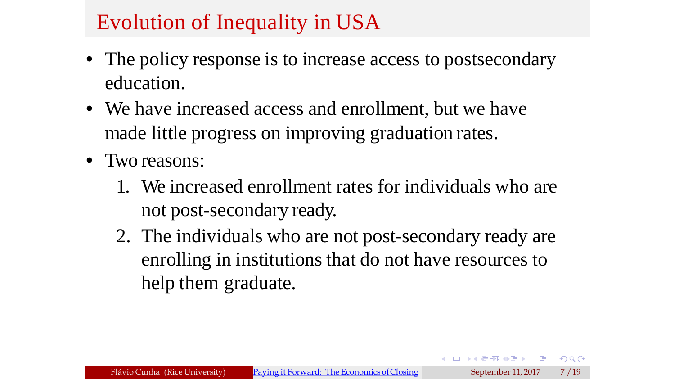## Evolution of Inequality in USA

- The policy response is to increase access to postsecondary education.
- We have increased access and enrollment, but we have made little progress on improving graduation rates.
- Two reasons:
	- 1. We increased enrollment rates for individuals who are not post-secondary ready.
	- 2. The individuals who are not post-secondary ready are enrolling in institutions that do not have resources to help them graduate.

 $QQ$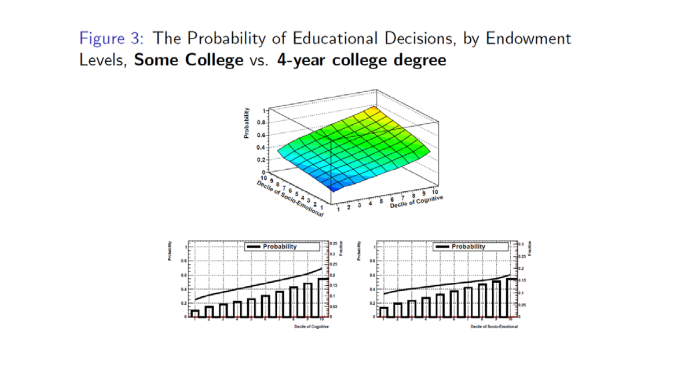Figure 3: The Probability of Educational Decisions, by Endowment Levels, Some College vs. 4-year college degree

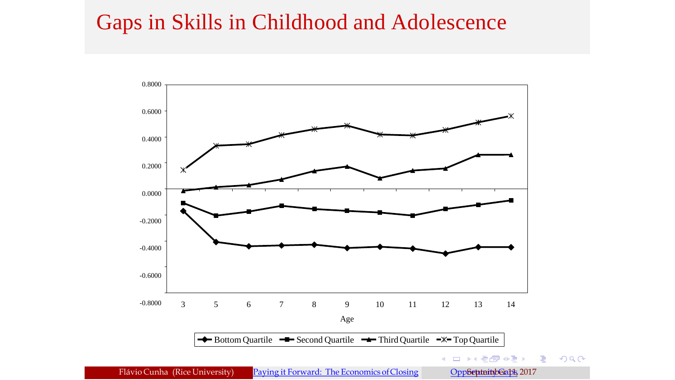### Gaps in Skills in Childhood and Adolescence

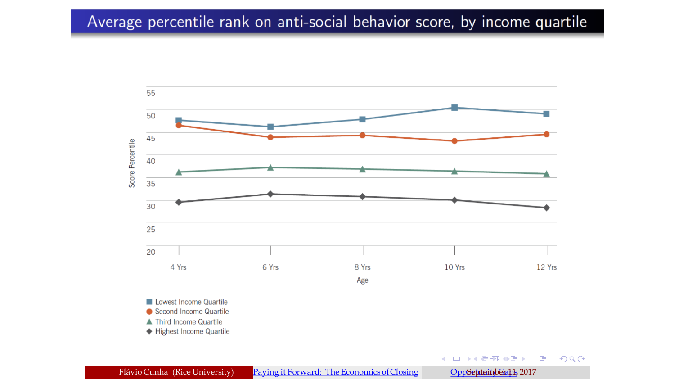#### Average percentile rank on anti-social behavior score, by income quartile



Flávio Cunha (Rice University) Paying it Forward: The Economics of Closing OppSeptemb@abl, 2017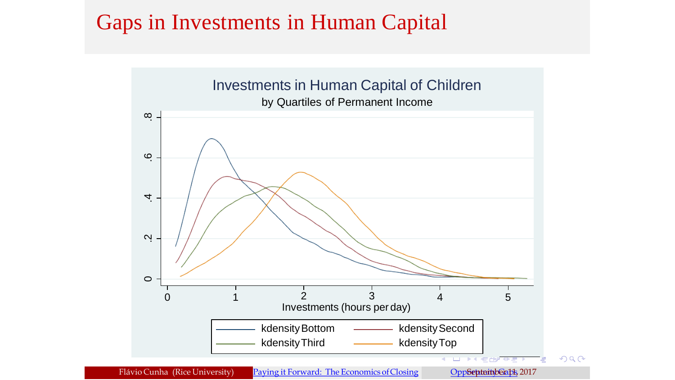### Gaps in Investments in Human Capital

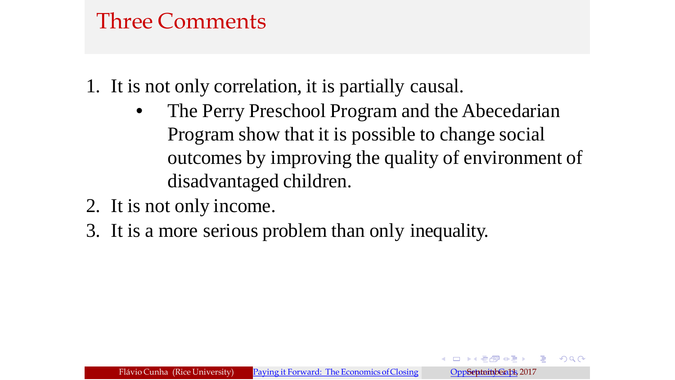## Three Comments

1. It is not only correlation, it is partially causal.

- The Perry Preschool Program and the Abecedarian Program show that it is possible to change social outcomes by improving the quality of environment of disadvantaged children.
- 2. It is not only income.
- 3. It is a more serious problem than only inequality.

 $\Omega$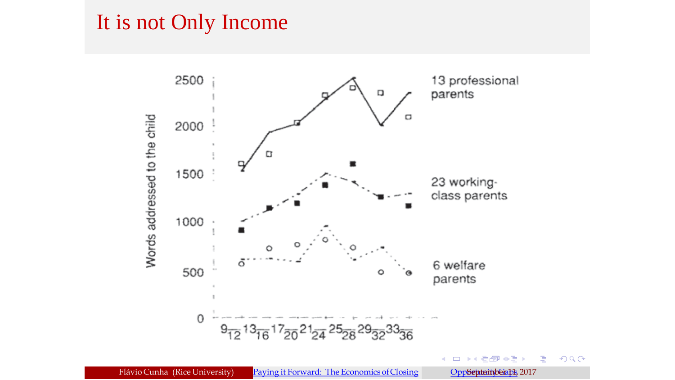### It is not Only Income

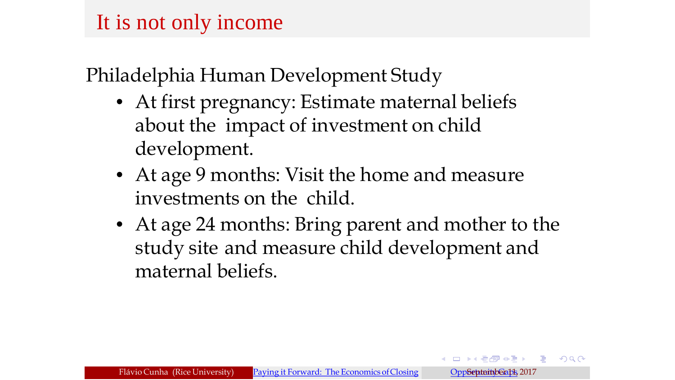## It is not only income

Philadelphia Human Development Study

- At first pregnancy: Estimate maternal beliefs about the impact of investment on child development.
- At age 9 months: Visit the home and measure investments on the child.
- At age 24 months: Bring parent and mother to the study site and measure child development and maternal beliefs.

 $\equiv$   $\cap$  Q  $\cap$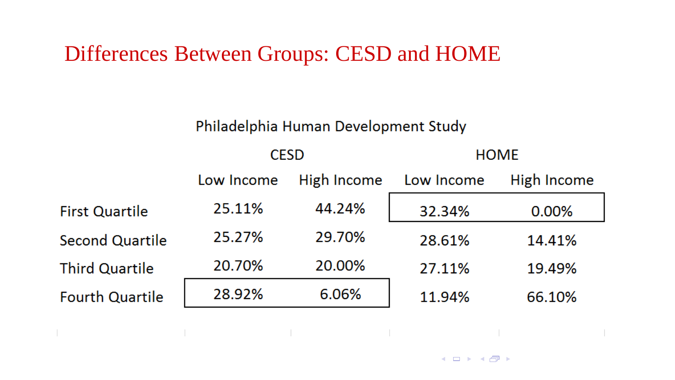### Differences Between Groups: CESD and HOME

#### Philadelphia Human Development Study

|                        | <b>CESD</b> |             | <b>HOME</b> |             |
|------------------------|-------------|-------------|-------------|-------------|
|                        | Low Income  | High Income | Low Income  | High Income |
| <b>First Quartile</b>  | 25.11%      | 44.24%      | 32.34%      | 0.00%       |
| <b>Second Quartile</b> | 25.27%      | 29.70%      | 28.61%      | 14.41%      |
| <b>Third Quartile</b>  | 20.70%      | 20.00%      | 27.11%      | 19.49%      |
| <b>Fourth Quartile</b> | 28.92%      | 6.06%       | 11.94%      | 66.10%      |

 $\begin{picture}(160,10) \put(0,0){\line(1,0){10}} \put(10,0){\line(1,0){10}} \put(10,0){\line(1,0){10}} \put(10,0){\line(1,0){10}} \put(10,0){\line(1,0){10}} \put(10,0){\line(1,0){10}} \put(10,0){\line(1,0){10}} \put(10,0){\line(1,0){10}} \put(10,0){\line(1,0){10}} \put(10,0){\line(1,0){10}} \put(10,0){\line(1,0){10}} \put(10,0){\line($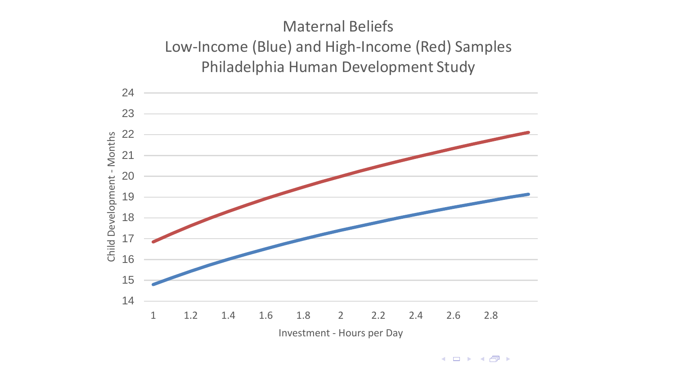#### Maternal Beliefs Low-Income (Blue) and High-Income (Red) Samples Philadelphia Human Development Study



 $\leftarrow$   $\Box$   $\rightarrow$   $\rightarrow$   $\Box$   $\rightarrow$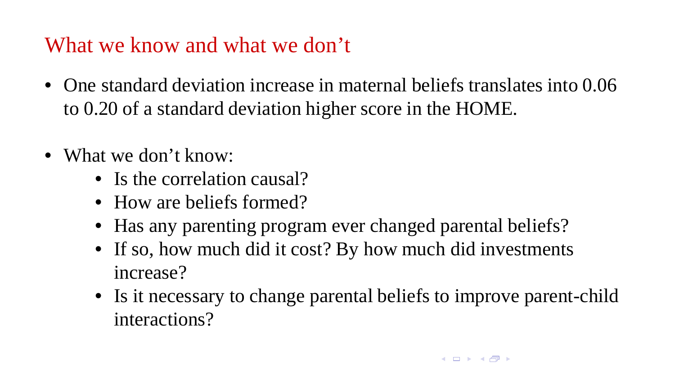## What we know and what we don't

- One standard deviation increase in maternal beliefs translates into 0.06 to 0.20 of a standard deviation higher score in the HOME.
- What we don't know.
	- Is the correlation causal?
	- How are beliefs formed?
	- Has any parenting program ever changed parental beliefs?
	- If so, how much did it cost? By how much did investments increase?
	- Is it necessary to change parental beliefs to improve parent-child interactions?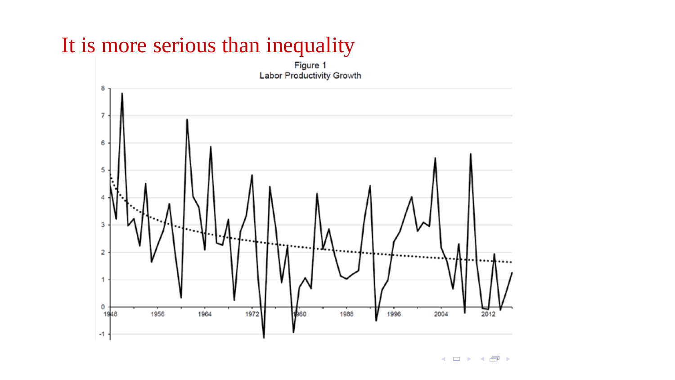## It is more serious than inequality